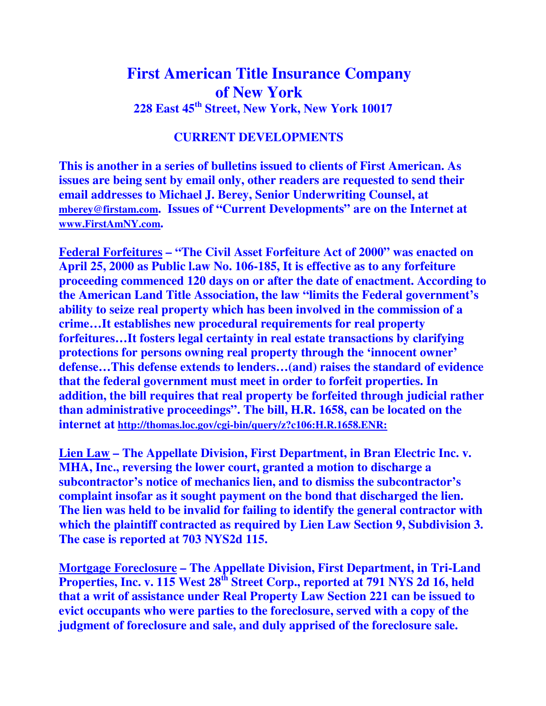## **First American Title Insurance Company of New York 228 East 45th Street, New York, New York 10017**

## **CURRENT DEVELOPMENTS**

**This is another in a series of bulletins issued to clients of First American. As issues are being sent by email only, other readers are requested to send their email addresses to Michael J. Berey, Senior Underwriting Counsel, at mberey@firstam.com. Issues of "Current Developments" are on the Internet at www.FirstAmNY.com.** 

**Federal Forfeitures – "The Civil Asset Forfeiture Act of 2000" was enacted on April 25, 2000 as Public l.aw No. 106-185, It is effective as to any forfeiture proceeding commenced 120 days on or after the date of enactment. According to the American Land Title Association, the law "limits the Federal government's ability to seize real property which has been involved in the commission of a crime…It establishes new procedural requirements for real property forfeitures…It fosters legal certainty in real estate transactions by clarifying protections for persons owning real property through the 'innocent owner' defense…This defense extends to lenders…(and) raises the standard of evidence that the federal government must meet in order to forfeit properties. In addition, the bill requires that real property be forfeited through judicial rather than administrative proceedings". The bill, H.R. 1658, can be located on the internet at http://thomas.loc.gov/cgi-bin/query/z?c106:H.R.1658.ENR:**

**Lien Law – The Appellate Division, First Department, in Bran Electric Inc. v. MHA, Inc., reversing the lower court, granted a motion to discharge a subcontractor's notice of mechanics lien, and to dismiss the subcontractor's complaint insofar as it sought payment on the bond that discharged the lien. The lien was held to be invalid for failing to identify the general contractor with which the plaintiff contracted as required by Lien Law Section 9, Subdivision 3. The case is reported at 703 NYS2d 115.** 

**Mortgage Foreclosure – The Appellate Division, First Department, in Tri-Land Properties, Inc. v. 115 West 28<sup>th</sup> Street Corp., reported at 791 NYS 2d 16, held that a writ of assistance under Real Property Law Section 221 can be issued to evict occupants who were parties to the foreclosure, served with a copy of the judgment of foreclosure and sale, and duly apprised of the foreclosure sale.**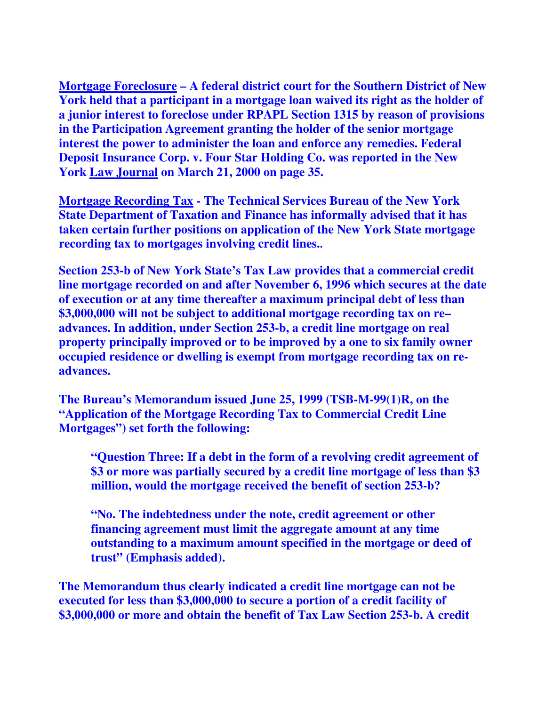**Mortgage Foreclosure – A federal district court for the Southern District of New York held that a participant in a mortgage loan waived its right as the holder of a junior interest to foreclose under RPAPL Section 1315 by reason of provisions in the Participation Agreement granting the holder of the senior mortgage interest the power to administer the loan and enforce any remedies. Federal Deposit Insurance Corp. v. Four Star Holding Co. was reported in the New York Law Journal on March 21, 2000 on page 35.** 

**Mortgage Recording Tax - The Technical Services Bureau of the New York State Department of Taxation and Finance has informally advised that it has taken certain further positions on application of the New York State mortgage recording tax to mortgages involving credit lines..** 

**Section 253-b of New York State's Tax Law provides that a commercial credit line mortgage recorded on and after November 6, 1996 which secures at the date of execution or at any time thereafter a maximum principal debt of less than \$3,000,000 will not be subject to additional mortgage recording tax on re– advances. In addition, under Section 253-b, a credit line mortgage on real property principally improved or to be improved by a one to six family owner occupied residence or dwelling is exempt from mortgage recording tax on readvances.** 

**The Bureau's Memorandum issued June 25, 1999 (TSB-M-99(1)R, on the "Application of the Mortgage Recording Tax to Commercial Credit Line Mortgages") set forth the following:** 

**"Question Three: If a debt in the form of a revolving credit agreement of \$3 or more was partially secured by a credit line mortgage of less than \$3 million, would the mortgage received the benefit of section 253-b?** 

**"No. The indebtedness under the note, credit agreement or other financing agreement must limit the aggregate amount at any time outstanding to a maximum amount specified in the mortgage or deed of trust" (Emphasis added).** 

**The Memorandum thus clearly indicated a credit line mortgage can not be executed for less than \$3,000,000 to secure a portion of a credit facility of \$3,000,000 or more and obtain the benefit of Tax Law Section 253-b. A credit**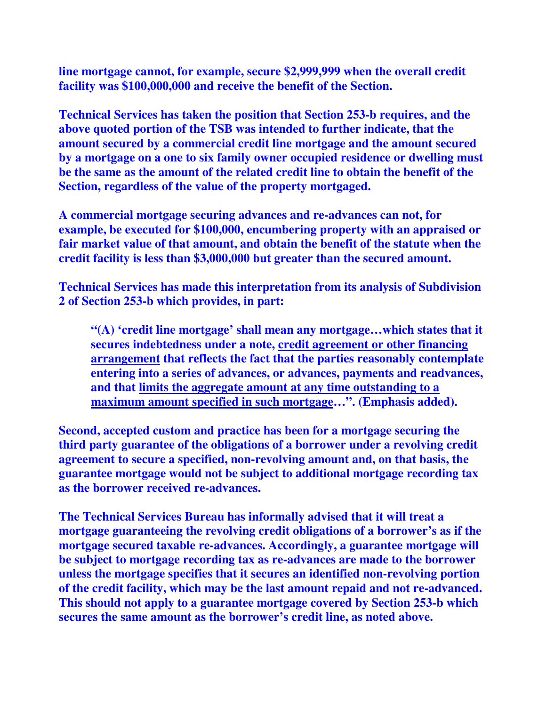**line mortgage cannot, for example, secure \$2,999,999 when the overall credit facility was \$100,000,000 and receive the benefit of the Section.** 

**Technical Services has taken the position that Section 253-b requires, and the above quoted portion of the TSB was intended to further indicate, that the amount secured by a commercial credit line mortgage and the amount secured by a mortgage on a one to six family owner occupied residence or dwelling must be the same as the amount of the related credit line to obtain the benefit of the Section, regardless of the value of the property mortgaged.** 

**A commercial mortgage securing advances and re-advances can not, for example, be executed for \$100,000, encumbering property with an appraised or fair market value of that amount, and obtain the benefit of the statute when the credit facility is less than \$3,000,000 but greater than the secured amount.** 

**Technical Services has made this interpretation from its analysis of Subdivision 2 of Section 253-b which provides, in part:** 

**"(A) 'credit line mortgage' shall mean any mortgage…which states that it secures indebtedness under a note, credit agreement or other financing arrangement that reflects the fact that the parties reasonably contemplate entering into a series of advances, or advances, payments and readvances, and that limits the aggregate amount at any time outstanding to a maximum amount specified in such mortgage…". (Emphasis added).** 

**Second, accepted custom and practice has been for a mortgage securing the third party guarantee of the obligations of a borrower under a revolving credit agreement to secure a specified, non-revolving amount and, on that basis, the guarantee mortgage would not be subject to additional mortgage recording tax as the borrower received re-advances.** 

**The Technical Services Bureau has informally advised that it will treat a mortgage guaranteeing the revolving credit obligations of a borrower's as if the mortgage secured taxable re-advances. Accordingly, a guarantee mortgage will be subject to mortgage recording tax as re-advances are made to the borrower unless the mortgage specifies that it secures an identified non-revolving portion of the credit facility, which may be the last amount repaid and not re-advanced. This should not apply to a guarantee mortgage covered by Section 253-b which secures the same amount as the borrower's credit line, as noted above.**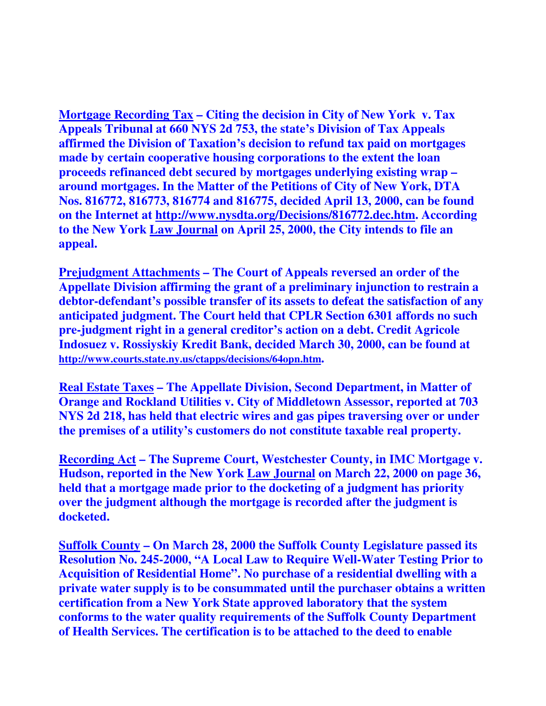**Mortgage Recording Tax – Citing the decision in City of New York v. Tax Appeals Tribunal at 660 NYS 2d 753, the state's Division of Tax Appeals affirmed the Division of Taxation's decision to refund tax paid on mortgages made by certain cooperative housing corporations to the extent the loan proceeds refinanced debt secured by mortgages underlying existing wrap – around mortgages. In the Matter of the Petitions of City of New York, DTA Nos. 816772, 816773, 816774 and 816775, decided April 13, 2000, can be found on the Internet at http://www.nysdta.org/Decisions/816772.dec.htm. According to the New York Law Journal on April 25, 2000, the City intends to file an appeal.** 

**Prejudgment Attachments – The Court of Appeals reversed an order of the Appellate Division affirming the grant of a preliminary injunction to restrain a debtor-defendant's possible transfer of its assets to defeat the satisfaction of any anticipated judgment. The Court held that CPLR Section 6301 affords no such pre-judgment right in a general creditor's action on a debt. Credit Agricole Indosuez v. Rossiyskiy Kredit Bank, decided March 30, 2000, can be found at http://www.courts.state.ny.us/ctapps/decisions/64opn.htm.** 

**Real Estate Taxes – The Appellate Division, Second Department, in Matter of Orange and Rockland Utilities v. City of Middletown Assessor, reported at 703 NYS 2d 218, has held that electric wires and gas pipes traversing over or under the premises of a utility's customers do not constitute taxable real property.** 

**Recording Act – The Supreme Court, Westchester County, in IMC Mortgage v. Hudson, reported in the New York Law Journal on March 22, 2000 on page 36, held that a mortgage made prior to the docketing of a judgment has priority over the judgment although the mortgage is recorded after the judgment is docketed.** 

**Suffolk County – On March 28, 2000 the Suffolk County Legislature passed its Resolution No. 245-2000, "A Local Law to Require Well-Water Testing Prior to Acquisition of Residential Home". No purchase of a residential dwelling with a private water supply is to be consummated until the purchaser obtains a written certification from a New York State approved laboratory that the system conforms to the water quality requirements of the Suffolk County Department of Health Services. The certification is to be attached to the deed to enable**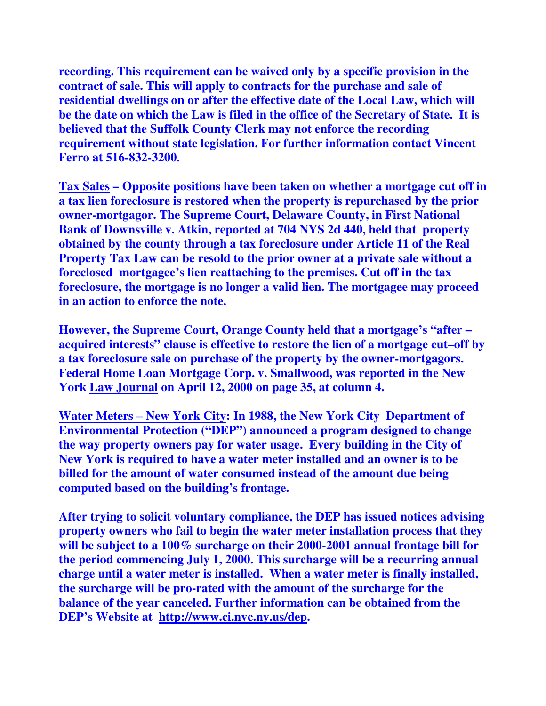**recording. This requirement can be waived only by a specific provision in the contract of sale. This will apply to contracts for the purchase and sale of residential dwellings on or after the effective date of the Local Law, which will be the date on which the Law is filed in the office of the Secretary of State. It is believed that the Suffolk County Clerk may not enforce the recording requirement without state legislation. For further information contact Vincent Ferro at 516-832-3200.** 

**Tax Sales – Opposite positions have been taken on whether a mortgage cut off in a tax lien foreclosure is restored when the property is repurchased by the prior owner-mortgagor. The Supreme Court, Delaware County, in First National Bank of Downsville v. Atkin, reported at 704 NYS 2d 440, held that property obtained by the county through a tax foreclosure under Article 11 of the Real Property Tax Law can be resold to the prior owner at a private sale without a foreclosed mortgagee's lien reattaching to the premises. Cut off in the tax foreclosure, the mortgage is no longer a valid lien. The mortgagee may proceed in an action to enforce the note.** 

**However, the Supreme Court, Orange County held that a mortgage's "after – acquired interests" clause is effective to restore the lien of a mortgage cut–off by a tax foreclosure sale on purchase of the property by the owner-mortgagors. Federal Home Loan Mortgage Corp. v. Smallwood, was reported in the New York Law Journal on April 12, 2000 on page 35, at column 4.** 

**Water Meters – New York City: In 1988, the New York City Department of Environmental Protection ("DEP") announced a program designed to change the way property owners pay for water usage. Every building in the City of New York is required to have a water meter installed and an owner is to be billed for the amount of water consumed instead of the amount due being computed based on the building's frontage.** 

**After trying to solicit voluntary compliance, the DEP has issued notices advising property owners who fail to begin the water meter installation process that they will be subject to a 100% surcharge on their 2000-2001 annual frontage bill for the period commencing July 1, 2000. This surcharge will be a recurring annual charge until a water meter is installed. When a water meter is finally installed, the surcharge will be pro-rated with the amount of the surcharge for the balance of the year canceled. Further information can be obtained from the DEP's Website at http://www.ci.nyc.ny.us/dep.**